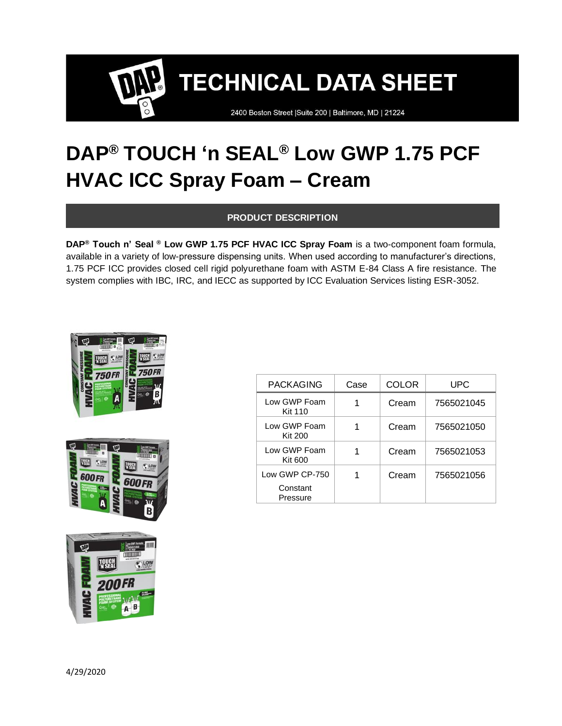2400 Boston Street | Suite 200 | Baltimore, MD | 21224

## **DAP® TOUCH 'n SEAL® Low GWP 1.75 PCF HVAC ICC Spray Foam – Cream**

#### **PRODUCT DESCRIPTION**

**DAP® Touch n' Seal ® Low GWP 1.75 PCF HVAC ICC Spray Foam** is a two-component foam formula, available in a variety of low-pressure dispensing units. When used according to manufacturer's directions, 1.75 PCF ICC provides closed cell rigid polyurethane foam with ASTM E-84 Class A fire resistance. The system complies with IBC, IRC, and IECC as supported by ICC Evaluation Services listing ESR-3052.







| <b>PACKAGING</b>                       | Case | COLOR | UPC        |
|----------------------------------------|------|-------|------------|
| Low GWP Foam<br><b>Kit 110</b>         |      | Cream | 7565021045 |
| Low GWP Foam<br><b>Kit 200</b>         |      | Cream | 7565021050 |
| Low GWP Foam<br>Kit 600                |      | Cream | 7565021053 |
| Low GWP CP-750<br>Constant<br>Pressure |      | Cream | 7565021056 |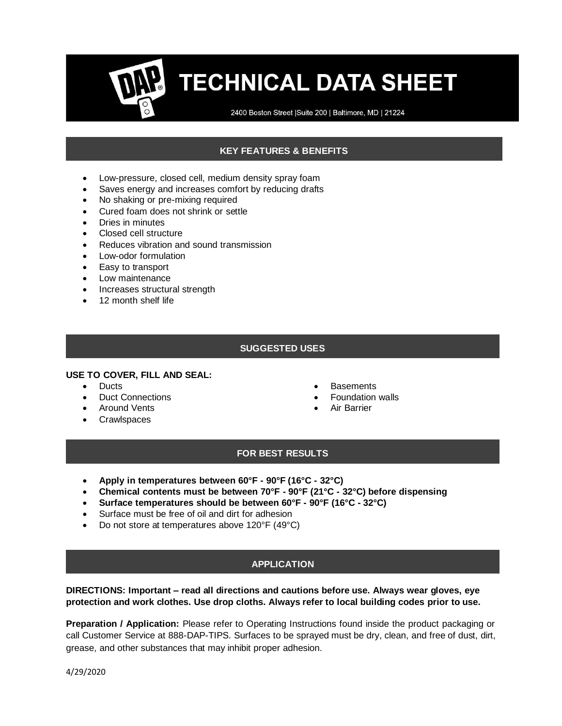2400 Boston Street | Suite 200 | Baltimore, MD | 21224

### **KEY FEATURES & BENEFITS**

- Low-pressure, closed cell, medium density spray foam
- Saves energy and increases comfort by reducing drafts
- No shaking or pre-mixing required
- Cured foam does not shrink or settle
- Dries in minutes
- Closed cell structure
- Reduces vibration and sound transmission
- Low-odor formulation
- Easy to transport
- Low maintenance
- Increases structural strength
- 12 month shelf life

#### **SUGGESTED USES**

#### **USE TO COVER, FILL AND SEAL:**

- Ducts
- Duct Connections
- Around Vents
- Crawlspaces
- Basements
- Foundation walls
- Air Barrier

#### **FOR BEST RESULTS**

- **Apply in temperatures between 60°F - 90°F (16°C - 32°C)**
- **Chemical contents must be between 70°F - 90°F (21°C - 32°C) before dispensing**
- **Surface temperatures should be between 60°F - 90°F (16°C - 32°C)**
- Surface must be free of oil and dirt for adhesion
- Do not store at temperatures above 120°F (49°C)

## **APPLICATION**

#### **DIRECTIONS: Important – read all directions and cautions before use. Always wear gloves, eye protection and work clothes. Use drop cloths. Always refer to local building codes prior to use.**

**Preparation / Application:** Please refer to Operating Instructions found inside the product packaging or call Customer Service at 888-DAP-TIPS. Surfaces to be sprayed must be dry, clean, and free of dust, dirt, grease, and other substances that may inhibit proper adhesion.

4/29/2020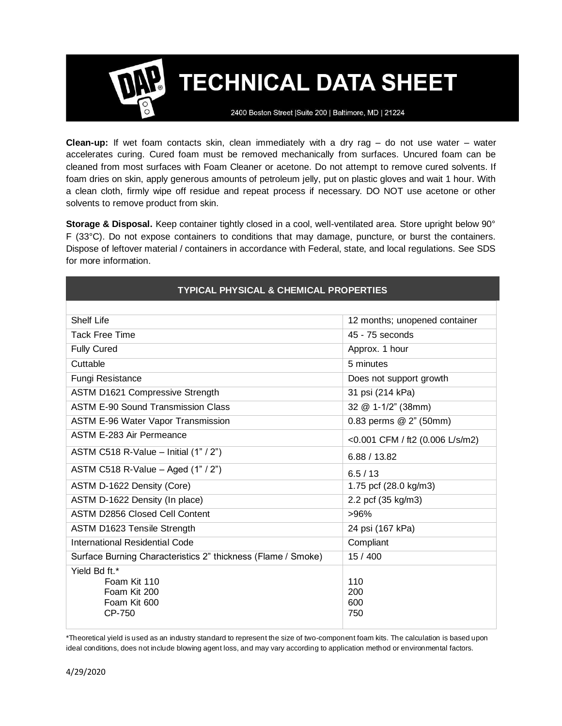2400 Boston Street | Suite 200 | Baltimore, MD | 21224

**Clean-up:** If wet foam contacts skin, clean immediately with a dry rag – do not use water – water accelerates curing. Cured foam must be removed mechanically from surfaces. Uncured foam can be cleaned from most surfaces with Foam Cleaner or acetone. Do not attempt to remove cured solvents. If foam dries on skin, apply generous amounts of petroleum jelly, put on plastic gloves and wait 1 hour. With a clean cloth, firmly wipe off residue and repeat process if necessary. DO NOT use acetone or other solvents to remove product from skin.

**Storage & Disposal.** Keep container tightly closed in a cool, well-ventilated area. Store upright below 90° F (33°C). Do not expose containers to conditions that may damage, puncture, or burst the containers. Dispose of leftover material / containers in accordance with Federal, state, and local regulations. See SDS for more information.

| <b>TYPICAL PHYSICAL &amp; CHEMICAL PROPERTIES</b>                       |                                 |  |
|-------------------------------------------------------------------------|---------------------------------|--|
|                                                                         |                                 |  |
| Shelf Life                                                              | 12 months; unopened container   |  |
| <b>Tack Free Time</b>                                                   | 45 - 75 seconds                 |  |
| <b>Fully Cured</b>                                                      | Approx. 1 hour                  |  |
| Cuttable                                                                | 5 minutes                       |  |
| Fungi Resistance                                                        | Does not support growth         |  |
| ASTM D1621 Compressive Strength                                         | 31 psi (214 kPa)                |  |
| ASTM E-90 Sound Transmission Class                                      | 32 @ 1-1/2" (38mm)              |  |
| <b>ASTM E-96 Water Vapor Transmission</b>                               | 0.83 perms @ 2" (50mm)          |  |
| <b>ASTM E-283 Air Permeance</b>                                         | <0.001 CFM / ft2 (0.006 L/s/m2) |  |
| ASTM C518 R-Value - Initial $(1" / 2")$                                 | 6.88 / 13.82                    |  |
| ASTM C518 R-Value - Aged $(1" / 2")$                                    | 6.5/13                          |  |
| ASTM D-1622 Density (Core)                                              | 1.75 pcf (28.0 kg/m3)           |  |
| ASTM D-1622 Density (In place)                                          | 2.2 pcf (35 kg/m3)              |  |
| <b>ASTM D2856 Closed Cell Content</b>                                   | >96%                            |  |
| ASTM D1623 Tensile Strength                                             | 24 psi (167 kPa)                |  |
| <b>International Residential Code</b>                                   | Compliant                       |  |
| Surface Burning Characteristics 2" thickness (Flame / Smoke)            | 15 / 400                        |  |
| Yield Bd ft.*<br>Foam Kit 110<br>Foam Kit 200<br>Foam Kit 600<br>CP-750 | 110<br>200<br>600<br>750        |  |

\*Theoretical yield is used as an industry standard to represent the size of two-component foam kits. The calculation is based upon ideal conditions, does not include blowing agent loss, and may vary according to application method or environmental factors.